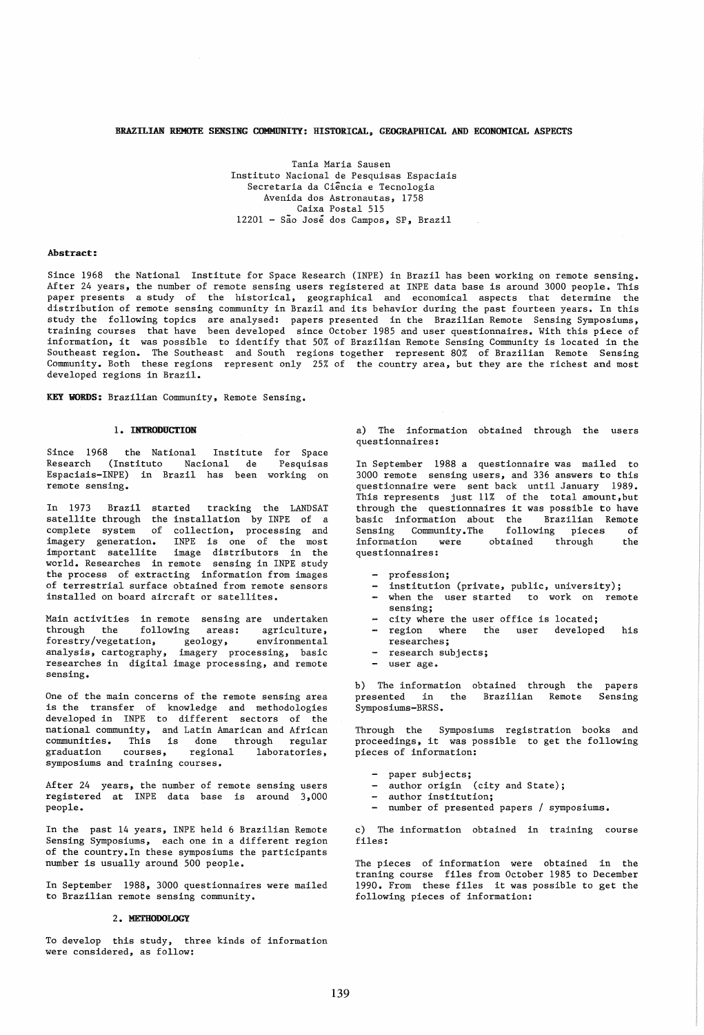# BRAZILIAN REMOTE SENSING COMMUNITY: HISTORICAL, GEOGRAPHICAL AND ECONOMICAL ASPECTS

Tania Maria Sausen Instituto Nacional de Pesquisas Espaciais Secretaria da Ciencia e Tecnologia Avenida dos Astronautas, 1758 Caixa Postal 515 12201 - Sao Jose dos Campos, SP, Brazil

#### Abstract:

Since 1968 the National Institute for Space Research (INPE) in Brazil has been working on remote sensing. After 24 years, the number of remote sensing users registered at INPE data base is around 3000 people. This paper presents a study of the historical, geographical and economical aspects that determine the distribution of remote sensing community in Brazil and its behavior during the past fourteen years. In this study the following topics are analysed: papers presented in the Brazilian Remote Sensing Symposiums, training courses that have been developed since October 1985 and user questionnaires. With this piece of information, it was possible to identify that 50% of Brazilian Remote Sensing Community is located in the Southeast region. The Southeast and South regions together represent 80% of Brazilian Remote Sensing Community. Both these regions represent only 25% of the country area, but they are the richest and most developed regions in Brazil.

KEY WORDS: Brazilian Community, Remote Sensing.

### 1. INTRODUCTION

Since 1968 the National<br>Research (Instituto Nac (Instituto Nacional de Espaciais-INPE) in Brazil has been working on remote sensing. Institute for Space Pesquisas

In 1973 Brazil started tracking the LANDSAT satellite through the installation by INPE of a complete system of collection, processing and imagery generation. INPE is one of the most important satellite image distributors in the world. Researches in remote sensing in INPE study the process of extracting information from images of terrestrial surface obtained from remote sensors installed on board aircraft or satellites.

Main activities in remote sensing are undertaken<br>through the following areas: agriculture, following areas: agriculture,<br>ion, geology, environmental forestry/vegetation,<br>analysis, cartography, imagery processing, basic researches in digital image processing, and remote sensing.

One of the main concerns of the remote sensing area is the transfer of knowledge and methodologies developed in INPE to different sectors of the national community, and Latin Amarican and African communities. This is done through regular<br>graduation courses, regional laboratories, laboratories, symposiums and training courses.

After 24 years, the number of remote sensing users registered at INPE data base is around 3,000 people.

In the past 14 years, INPE held 6 Brazilian Remote Sensing Symposiums, each one in a different region of the country.In these symposiums the participants number is usually around 500 people.

In September 1988, 3000 questionnaires were mailed to Brazilian remote sensing community.

## 2. METHODOLOGY

To develop this study, three kinds of information were considered, as follow:

a) The information obtained through the users questionnaires:

In September 1988 a questionnaire was mailed to 3000 remote sensing users, and 336 answers to this questionnaire were sent back until January 1989. This represents just 11% of the total amount,but through the questionnaires it was possible to have  $basic$  information about the Sensing Community. The following pieces of<br>information were obtained through the information were questionnaires:

- profession;
- institution (private, public, university);
- when the user started to work on remote sensing;
- city where the user office is located;
- region where the user developed researches; his
- research subjects;
- user age.

b) The information obtained through the papers presented in the Symposiums-BRSS. Brazilian Remote Sensing

Through the Symposiums registration books and proceedings, it was possible to get the following pieces of information:

- paper subjects;
- author origin (city and State);
- author institution;
- number of presented papers / symposiums.

c) The information obtained in training course files:

The pieces of information were obtained in the traning course files from October 1985 to December 1990. From these files it was possible to get the following pieces of information: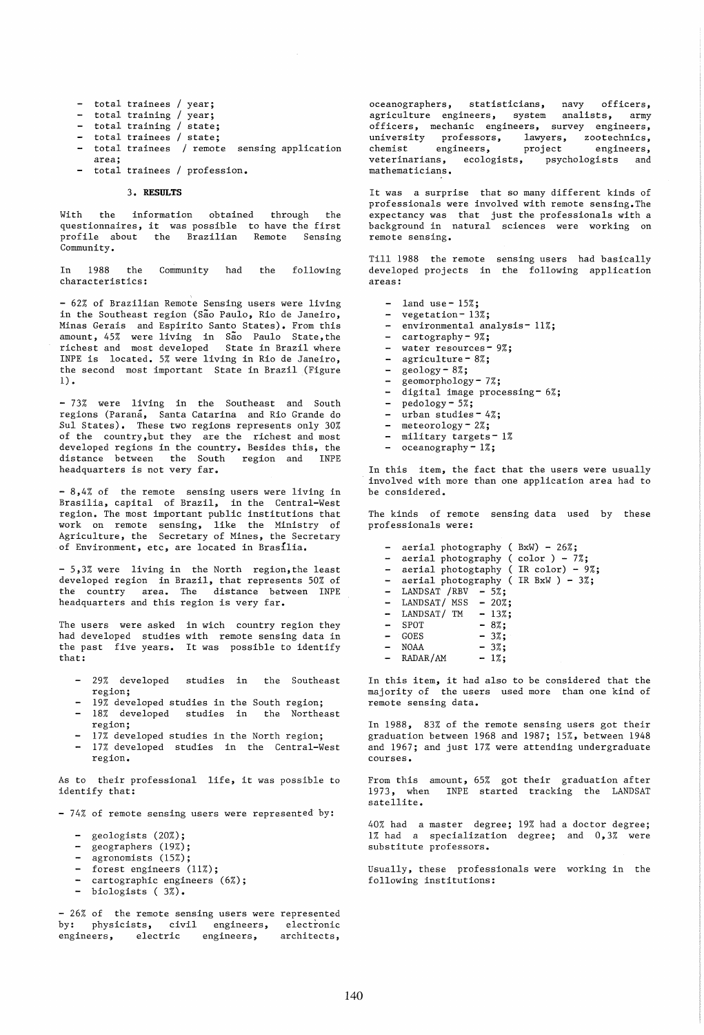- total trainees / year;
- total training / year; - total training / state;
- total trainees / state;
- total trainees / remote sensing application
- area; - total trainees / profession.

# 3. RESULTS

With the information obtained through the questionnaires, it was possible to have the first<br>profile about the Brazilian Remote Sensing profile about the Brazilian Community.

In 1988 the Community had the following characteristics:

- 62% of Brazilian Remote Sensing users were living in the Southeast region (São Paulo, Rio de Janeiro, Minas Gerais and Espirito Santo States). From this amount, 45% were living in São Paulo State, the richest and most developed State in Brazil where INPE is located. 5% were living in Rio de Janeiro, the second most important State in Brazil (Figure 1) •

- 73% were living in the Southeast and South regions (Parana, Santa Catarina and Rio Grande do SuI States). These two regions represents only 30% of the country,but they are the richest and most developed regions in the country. Besides this, the distance between the South region and INPE headquarters is not very far.

- 8,4% of the remote sensing users were living in Brasilia, capital of Brazil, in the Central-West region. The most important public institutions that work on remote sensing, like the Ministry of Agriculture, the Secretary of Mines, the Secretary of Environment, etc, are located in BrasIlia.

- 5,3% were living in the North region,the least developed region in Brazil, that represents 50% of the country area. The distance between INPE headquarters and this region is very far.

The users were asked in wich country region they had developed studies with remote sensing data in the past five years. It was possible to identify that:

- 29% developed studies in the Southeast region;
- 19% developed studies in the South region;
- 18% developed studies in the Northeast region;
- 17% developed studies in the North region;
- 17% developed studies in the Central-West region.

As to their professional life, it was possible to identify that:

- 74% of remote sensing users were represented by:

- geologists (20%);
- geographers (19%);
- $\overline{a}$ agronomists (15%);
- forest engineers (11%);
- cartographic engineers (6%);
- biologists ( 3%).

- 26% of the remote sensing users were represented by: physicists, civil engineers, electronic engineers, electric engineers, architects,

oceanographers, statisticians, navy officers, agriculture engineers, system analists, army officers, mechanic engineers, survey engineers,<br>university professors, lawyers, zootechnics, university professors, lawyers,<br>chemist engineers, project engineers, project engineers,<br>is, ecologists, psychologists and veterinarians. mathematicians.

It was a surprise that so many different kinds of professionals were involved with remote sensing. The .<br>expectancy was that just the professionals with a background in natural sciences were working on remote sensing.

Till 1988 the remote sensing users had basically developed projects in the following application areas:

- land use  $-15\%$ ;
- vegetation  $-13\%$ ;
- $\overline{a}$ environmental analysis- 11%;
- $\overline{a}$ cartography - 9%;
- $\sim$ water resources- 9%;
- agriculture 8%;  $\overline{\phantom{0}}$
- geology  $-8\%$ ;
- $\equiv$ geomorphology - 7%;  $\overline{a}$
- digital image processing- 6%;
- $\blacksquare$ pedology - 5%;
- $\overline{\phantom{0}}$ urban studies - 4%;
- meteorology 2%;  $\sim$
- military targets 1%
- oceanography 1%;

In this item, the fact that the users were usually involved with more than one application area had to be considered.

The kinds of remote sensing data used by these professionals were:

aerial photography ( $BxW$ ) - 26%; aerial photography (color ) -  $7\%$ ; aerial photogtaphy IR color) - 9%; aerial photography  $\overline{\phantom{0}}$ IR BxW  $) - 3\%$ ;  $\overline{a}$ LANDSAT  $/RBV - 5%$ ;  $LANDSAT/$  MSS  $-20\%$ ;  $\overline{\phantom{a}}$  $\frac{1}{2}$ LANDSAT/  $TM - 13%$ ;<br>SPOT  $- 8%$ : SPOT  $-8\%$ ;<br>GOES  $-3\%$ :  $\blacksquare$  $-3%;$  $\overline{\phantom{0}}$ NOAA  $- 3\%$ ;<br>RADAR/AM  $- 1\%$ ;  $\equiv$  $\overline{\phantom{0}}$ RADAR/AM

In this item, it had also to be considered that the majority of the users used more than one kind of remote sensing data.

In 1988, 83% of the remote sensing users got their graduation between 1968 and 1987; 15%, between 1948 and 1967; and just 17% were attending undergraduate courses.

From this 1973, when satellite. amount, INPE 65% got their graduation after started tracking the LANDSAT

40% had a master degree; 19% had a doctor degree; 1% had a specialization degree; and 0,3% were substitute professors.

Usually, these professionals were working in the following institutions: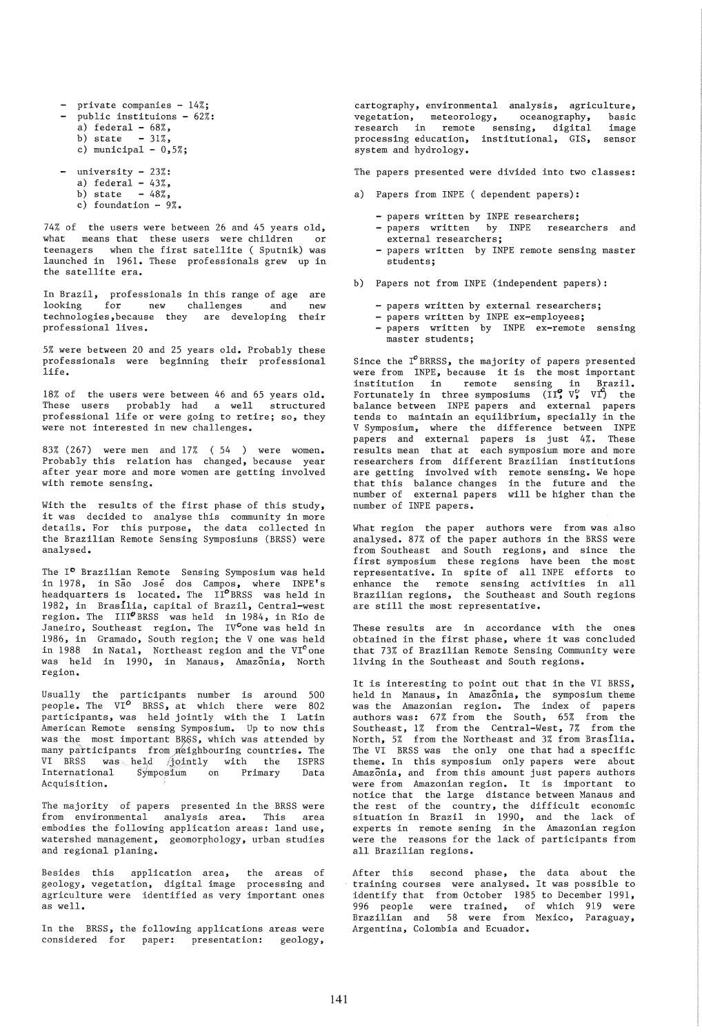- private companies 14%; public instituions - 62%: a) federal  $-68\%$ , b) state  $-31\%$ ,
	- c) municipal  $-0.5\%$ ;
	- university 23%: a) federal - 43%, b) state  $-48%$ ,
		- c) foundation 9%.

74% of the users were between 26 and 45 years old, what means that these users were children or teenagers when the first satellite ( Sputnik) was launched in 1961. These professionals grew up in the satellite era.

In Brazil, professionals in this range of age are looking for new challenges and technologies ,because they are developing their professional lives. new

5% were between 20 and 25 years old. Probably these professionals were beginning their professional life.

18% of the users were between 46 and 65 years old. These users probably had a well structured professional life or were going to retire; so, they were not interested in new challenges.

 $83\%$  (267) were men and  $17\%$  (54) were women. Probably this relation has changed, because year after year more and more women are getting involved with remote sensing.

With the results of the first phase of this study, it was decided to analyse this community in more details. For this purpose, the data collected in the Brazilian Remote Sensing Symposiuns (BRSS) were analysed.

The 1° Brazilian Remote Sensing Symposium was held in 1978, in São José dos Campos, where INPE's headquarters is located. The II<sup>o</sup>BRSS was held in 1982, in BrasIlia, capital of Brazil, Central-west  $region.$  The  $III<sup>o</sup> BRSS$  was held in 1984, in Rio de Janeiro, Southeast region. The IV<sup>o</sup>one was held in 1986, in Gramado, South region; the V one was held in 1988 in Natal, Northeast region and the  $VI^c$  one was held in 1990, in Manaus, Amazonia, North region.

Usually the participants number is around 500 people. The VI<sup>o</sup> BRSS, at which there were 802 participants, was held jointly with the I Latin American Remote sensing Symposium. Up to now this was the most important  $BRSS$ , which was attended by many participants from meighbouring countries. The VI BRSS was held (jointly with the ISPRS<br>International Symposium on Primary Data International Symposium Acquisition.

The majority of papers presented in the BRSS were from environmental analysis area. This area embodies the following application areas: land use, watershed management, geomorphology, urban studies and regional planing.

Besides this application area, the areas of geology, vegetation, digital image processing and agriculture were identified as very important ones as well.

In the BRSS, the following applications areas were considered for paper: presentation: geology,

cartography, environmental analysis, agriculture, vegetation, meteorology, oceanography, basic research in remote sensing, digital image processing education, institutional, GIS, sensor system and hydrology.

The papers presented were divided into two classes:

- a) Papers from INPE ( dependent papers):
	- papers written by INPE researchers;
	- papers written by INPE researchers and external researchers;
	- papers written by INPE remote sensing master students;
- b) Papers not from INPE (independent papers):
	- papers written by external researchers;
	- papers written by INPE ex-employees;
	- papers written by INPE ex-remote sensing master students;

Since the  $I^o$ BRRSS, the majority of papers presented were from INPE, because it is the most important institution in remote sensing in Brazil. Fortunately in three symposiums  $(\overline{\text{II}}^o, \overline{\text{V}}^o, \overline{\text{VI}})$  the balance between INPE papers and external papers tends to maintain an equilibrium, specially in the V Symposium, where the difference between INPE papers and external papers is just 4%. These results mean that at each symposium more and more researchers from different Brazilian institutions are getting involved with remote sensing. We hope that this balance changes in the future and the number of external papers will be higher than the number of INPE papers.

What region the paper authors were from was also analysed. 87% of the paper authors in the BRSS were from Southeast and South regions, and since the first symposium these regions have been the most representative. In spite of all INPE efforts to enhance the remote sensing activities in all Brazilian regions, the Southeast and South regions are still the most representative.

These results are in accordance with the ones obtained in the first phase, where it was concluded that 73% of Brazilian Remote Sensing Community were living in the Southeast and South regions.

It is interesting to point out that in the VI BRSS, held in Manaus, in Amazonia, the symposium theme was the Amazonian region. The index of papers authors was: 67% from the South, 65% from the Southeast, 1% from the Central-West, 7% from the North, 5% from the Northeast and 3% from Brasilia. The VI BRSS was the only one that had a specific theme. In this symposium only papers were about Amazonia, and from this amount just papers authors were from Amazonian region. It is important to notice that the large distance between Manaus and the rest of the country, the difficult economic situation in Brazil in 1990, and the lack of experts in remote sening in the Amazonian region were the reasons for the lack of participants from all Brazilian regions.

After this second phase, the data about the training courses were analysed. It was possible to identify that from October 1985 to December 1991, 996 people were trained, of which 919 were Brazilian and 58 were from Mexico, Paraguay, Argentina, Colombia and Ecuador.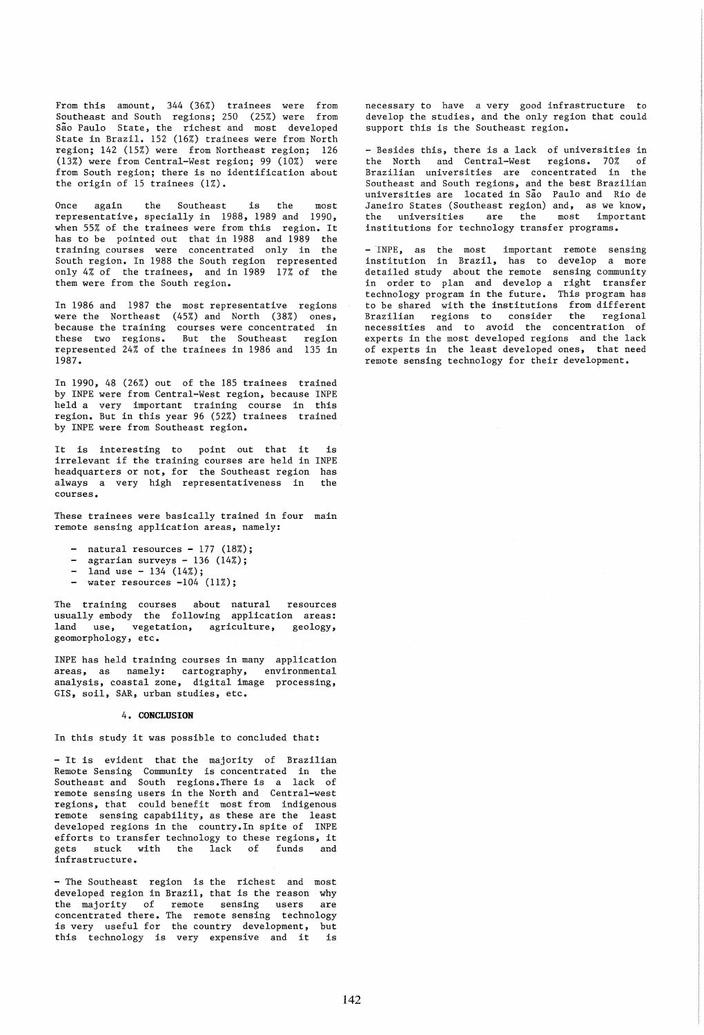From this amount, 344 (36%) trainees were from Southeast and South regions; 250 (25%) were from São Paulo State, the richest and most developed State in Brazil. 152 (16%) trainees were from North region; 142 (15%) were from Northeast region; 126 (13%) were from Central-West region; 99 (10%) were from South region; there is no identification about the origin of 15 trainees  $(1\%)$ .

Once again the Southeast is the most representative, specially in 1988, 1989 and 1990, when 55% of the trainees were from this region. It has to be pointed out that in 1988 and 1989 the training courses were concentrated only in the South region. In 1988 the South region represented only 4% of the trainees, and in 1989 17% of the them were from the South region.

In 1986 and 1987 the most representative regions were the Northeast (45%) and North (38%) ones, because the training courses were concentrated in these two regions. But the Southeast region represented 24% of the trainees in 1986 and 135 in 1987.

In 1990, 48 (26%) out of the 185 trainees trained by INPE were from Central-West region, because INPE held a very important training course in this region. But in this year 96 (52%) trainees trained by INPE were from Southeast region.

It is interesting to point out that it is irrelevant if the training courses are held in INPE headquarters or not, for the Southeast region has<br>always a very high representativeness in the always a very high representativeness in courses.

These trainees were basically trained in four main remote sensing application areas, namely:

- natural resources  $-177$  (18%);
- agrarian surveys  $136$  ( $14\%$ );
- $1$ and use 134 (14%);
- water resources  $-104$   $(11\%)$ ;

The training courses about natural resources usually embody the following application areas: land use, vegetation, agriculture, geology, geomorphology, etc.

INPE has held training courses in many application areas, as namely: cartography, environmental analysis, coastal zone, digital image processing, GIS, soil, SAR, urban studies, etc.

## **4. CONCLUSION**

## In this study it was possible to concluded that:

- It is evident that the majority of Brazilian Remote Sensing Community is concentrated in the Southeast and South regions. There is a lack of remote sensing users in the North and Central-west regions, that could benefit most from indigenous remote sensing capability, as these are the least developed regions in the country.In spite of INPE efforts to transfer technology to these regions, it<br>gets stuck with the lack of funds and stuck with the lack of funds infrastructure.

- The Southeast region is the richest and most developed region in Brazil, that is the reason why the majority of remote sensing users are concentrated there. The remote sensing technology is very useful for the country development, but this technology is very expensive and it is necessary to have a very good infrastructure to develop the studies, and the only region that could support this is the Southeast region.

- Besides this, there is a lack of universities in the North and Central-West regions. 70% of Brazilian universities are concentrated in the Southeast and South regions, and the best Brazilian universities are located in Sao Paulo and Rio de Janeiro States (Southeast region) and, as we know, the universities are the most important institutions for technology transfer programs.

- INPE, as the most important remote sensing institution in Brazil, has to develop a more detailed study about the remote sensing community in order to plan and develop a right transfer technology program in the future. This program has to be shared with the institutions from different Brazilian regions to consider the regional necessities and to avoid the concentration of experts in the most developed regions and the lack of experts in the least developed ones, that need remote sensing technology for their development.